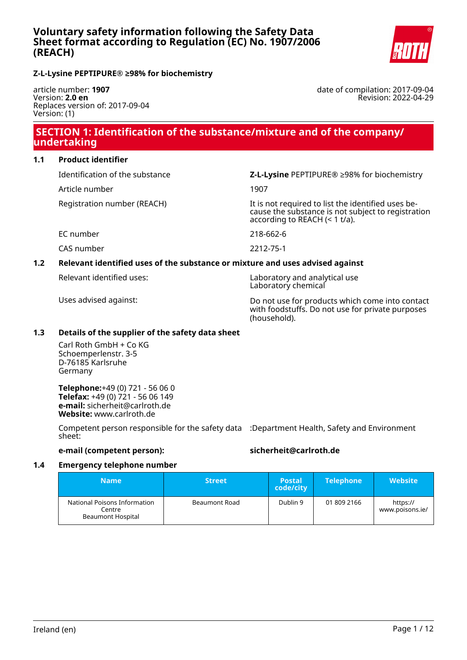

## **Z-L-Lysine PEPTIPURE® ≥98% for biochemistry**

article number: **1907** Version: **2.0 en** Replaces version of: 2017-09-04 Version: (1)

date of compilation: 2017-09-04 Revision: 2022-04-29

# **SECTION 1: Identification of the substance/mixture and of the company/ undertaking**

## **1.1 Product identifier**

Article number 1907

Identification of the substance **Z-L-Lysine** PEPTIPURE® ≥98% for biochemistry

Registration number (REACH) It is not required to list the identified uses because the substance is not subject to registration according to REACH (< 1 t/a).

EC number 218-662-6

CAS number 2212-75-1

## **1.2 Relevant identified uses of the substance or mixture and uses advised against**

Relevant identified uses: Laboratory and analytical use Laboratory chemical

Uses advised against: Do not use for products which come into contact with foodstuffs. Do not use for private purposes (household).

## **1.3 Details of the supplier of the safety data sheet**

Carl Roth GmbH + Co KG Schoemperlenstr. 3-5 D-76185 Karlsruhe Germany

**Telephone:**+49 (0) 721 - 56 06 0 **Telefax:** +49 (0) 721 - 56 06 149 **e-mail:** sicherheit@carlroth.de **Website:** www.carlroth.de

Competent person responsible for the safety data :Department Health, Safety and Environment sheet:

**e-mail (competent person): sicherheit@carlroth.de**

## **1.4 Emergency telephone number**

| <b>Name</b>                                                 | <b>Street</b> | <b>Postal</b><br>code/city | <b>Telephone</b> | <b>Website</b>              |
|-------------------------------------------------------------|---------------|----------------------------|------------------|-----------------------------|
| National Poisons Information<br>Centre<br>Beaumont Hospital | Beaumont Road | Dublin 9                   | 01 809 2166      | https://<br>www.poisons.ie/ |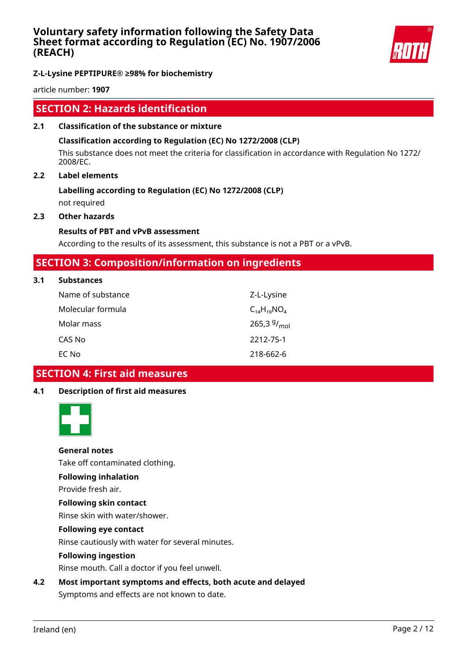

## **Z-L-Lysine PEPTIPURE® ≥98% for biochemistry**

article number: **1907**

# **SECTION 2: Hazards identification**

**2.1 Classification of the substance or mixture**

## **Classification according to Regulation (EC) No 1272/2008 (CLP)**

This substance does not meet the criteria for classification in accordance with Regulation No 1272/ 2008/EC.

## **2.2 Label elements**

# **Labelling according to Regulation (EC) No 1272/2008 (CLP)**

not required

## **2.3 Other hazards**

**3.1 Substances**

## **Results of PBT and vPvB assessment**

According to the results of its assessment, this substance is not a PBT or a vPvB.

# **SECTION 3: Composition/information on ingredients**

| <b>Substances</b> |                    |
|-------------------|--------------------|
| Name of substance | Z-L-Lysine         |
| Molecular formula | $C_{14}H_{19}NO_4$ |
| Molar mass        | 265,3 $9/_{mol}$   |
| CAS No            | 2212-75-1          |
| EC No             | 218-662-6          |

# **SECTION 4: First aid measures**

## **4.1 Description of first aid measures**



## **General notes**

Take off contaminated clothing.

## **Following inhalation**

Provide fresh air.

## **Following skin contact**

Rinse skin with water/shower.

## **Following eye contact**

Rinse cautiously with water for several minutes.

## **Following ingestion**

Rinse mouth. Call a doctor if you feel unwell.

## **4.2 Most important symptoms and effects, both acute and delayed**

Symptoms and effects are not known to date.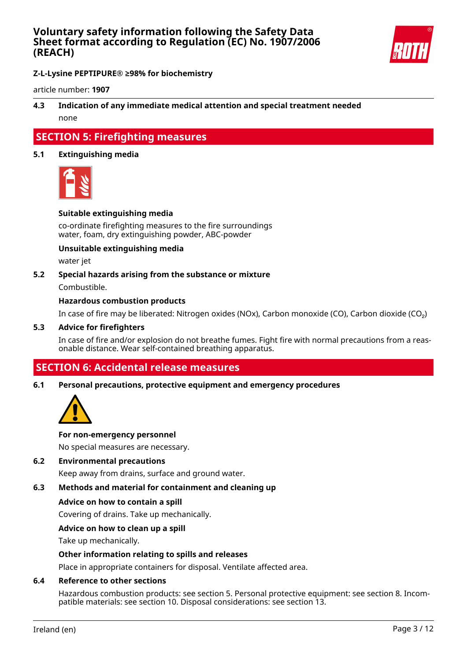

## **Z-L-Lysine PEPTIPURE® ≥98% for biochemistry**

article number: **1907**

## **4.3 Indication of any immediate medical attention and special treatment needed** none

# **SECTION 5: Firefighting measures**

## **5.1 Extinguishing media**



## **Suitable extinguishing media**

co-ordinate firefighting measures to the fire surroundings water, foam, dry extinguishing powder, ABC-powder

#### **Unsuitable extinguishing media**

water jet

#### **5.2 Special hazards arising from the substance or mixture**

Combustible.

## **Hazardous combustion products**

In case of fire may be liberated: Nitrogen oxides (NOx), Carbon monoxide (CO), Carbon dioxide (CO₂)

#### **5.3 Advice for firefighters**

In case of fire and/or explosion do not breathe fumes. Fight fire with normal precautions from a reasonable distance. Wear self-contained breathing apparatus.

# **SECTION 6: Accidental release measures**

#### **6.1 Personal precautions, protective equipment and emergency procedures**



#### **For non-emergency personnel**

No special measures are necessary.

#### **6.2 Environmental precautions**

Keep away from drains, surface and ground water.

## **6.3 Methods and material for containment and cleaning up**

#### **Advice on how to contain a spill**

Covering of drains. Take up mechanically.

## **Advice on how to clean up a spill**

Take up mechanically.

## **Other information relating to spills and releases**

Place in appropriate containers for disposal. Ventilate affected area.

## **6.4 Reference to other sections**

Hazardous combustion products: see section 5. Personal protective equipment: see section 8. Incompatible materials: see section 10. Disposal considerations: see section 13.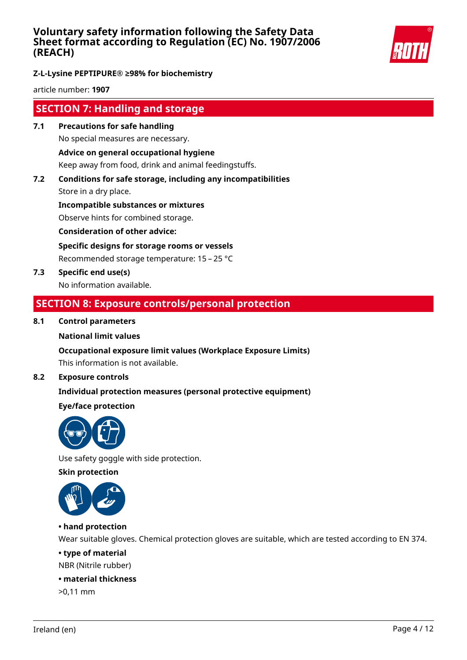

## **Z-L-Lysine PEPTIPURE® ≥98% for biochemistry**

article number: **1907**

# **SECTION 7: Handling and storage**

- **7.1 Precautions for safe handling** No special measures are necessary. **Advice on general occupational hygiene** Keep away from food, drink and animal feedingstuffs.
- **7.2 Conditions for safe storage, including any incompatibilities** Store in a dry place.

**Incompatible substances or mixtures** Observe hints for combined storage.

**Consideration of other advice:**

**Specific designs for storage rooms or vessels**

Recommended storage temperature: 15 – 25 °C

**7.3 Specific end use(s)** No information available.

# **SECTION 8: Exposure controls/personal protection**

## **8.1 Control parameters**

## **National limit values**

## **Occupational exposure limit values (Workplace Exposure Limits)**

This information is not available.

## **8.2 Exposure controls**

## **Individual protection measures (personal protective equipment)**

## **Eye/face protection**



Use safety goggle with side protection.

**Skin protection**



## **• hand protection**

Wear suitable gloves. Chemical protection gloves are suitable, which are tested according to EN 374.

## **• type of material**

NBR (Nitrile rubber)

## **• material thickness**

>0,11 mm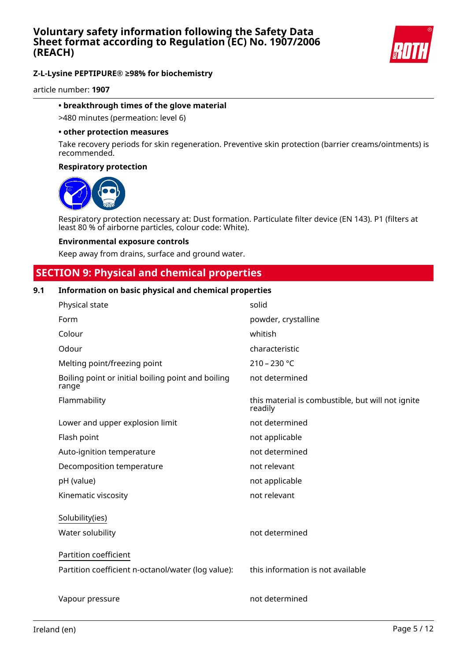

article number: **1907**

## **• breakthrough times of the glove material**

>480 minutes (permeation: level 6)

#### **• other protection measures**

Take recovery periods for skin regeneration. Preventive skin protection (barrier creams/ointments) is recommended.

#### **Respiratory protection**



Respiratory protection necessary at: Dust formation. Particulate filter device (EN 143). P1 (filters at least 80 % of airborne particles, colour code: White).

#### **Environmental exposure controls**

Keep away from drains, surface and ground water.

# **SECTION 9: Physical and chemical properties**

## **9.1 Information on basic physical and chemical properties**

| Physical state                                              | solid                                                        |
|-------------------------------------------------------------|--------------------------------------------------------------|
| Form                                                        | powder, crystalline                                          |
| Colour                                                      | whitish                                                      |
| Odour                                                       | characteristic                                               |
| Melting point/freezing point                                | $210 - 230 °C$                                               |
| Boiling point or initial boiling point and boiling<br>range | not determined                                               |
| Flammability                                                | this material is combustible, but will not ignite<br>readily |
| Lower and upper explosion limit                             | not determined                                               |
| Flash point                                                 | not applicable                                               |
| Auto-ignition temperature                                   | not determined                                               |
| Decomposition temperature                                   | not relevant                                                 |
| pH (value)                                                  | not applicable                                               |
| Kinematic viscosity                                         | not relevant                                                 |
| Solubility(ies)                                             |                                                              |
| Water solubility                                            | not determined                                               |
| Partition coefficient                                       |                                                              |
| Partition coefficient n-octanol/water (log value):          | this information is not available                            |
| Vapour pressure                                             | not determined                                               |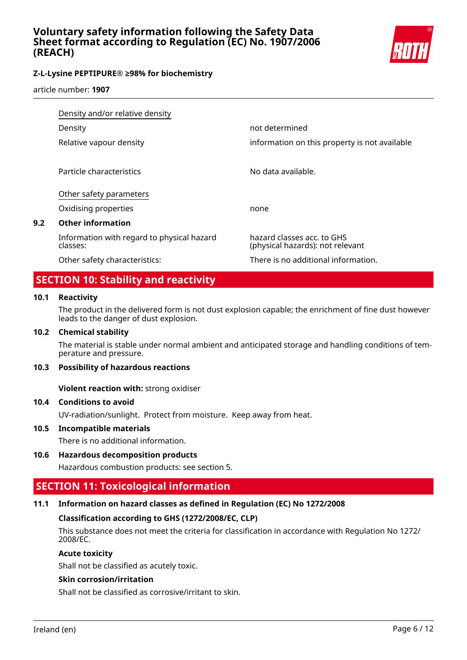

article number: **1907**

|     | Density and/or relative density                        |                                                                |  |
|-----|--------------------------------------------------------|----------------------------------------------------------------|--|
|     | Density                                                | not determined                                                 |  |
|     | Relative vapour density                                | information on this property is not available                  |  |
|     | Particle characteristics                               | No data available.                                             |  |
|     | Other safety parameters                                |                                                                |  |
|     | Oxidising properties                                   | none                                                           |  |
| 9.2 | <b>Other information</b>                               |                                                                |  |
|     | Information with regard to physical hazard<br>classes: | hazard classes acc. to GHS<br>(physical hazards): not relevant |  |
|     | Other safety characteristics:                          | There is no additional information.                            |  |

# **SECTION 10: Stability and reactivity**

## **10.1 Reactivity**

The product in the delivered form is not dust explosion capable; the enrichment of fine dust however leads to the danger of dust explosion.

## **10.2 Chemical stability**

The material is stable under normal ambient and anticipated storage and handling conditions of temperature and pressure.

## **10.3 Possibility of hazardous reactions**

**Violent reaction with:** strong oxidiser

## **10.4 Conditions to avoid**

UV-radiation/sunlight. Protect from moisture. Keep away from heat.

## **10.5 Incompatible materials**

There is no additional information.

## **10.6 Hazardous decomposition products**

Hazardous combustion products: see section 5.

# **SECTION 11: Toxicological information**

## **11.1 Information on hazard classes as defined in Regulation (EC) No 1272/2008**

## **Classification according to GHS (1272/2008/EC, CLP)**

This substance does not meet the criteria for classification in accordance with Regulation No 1272/ 2008/EC.

## **Acute toxicity**

Shall not be classified as acutely toxic.

## **Skin corrosion/irritation**

Shall not be classified as corrosive/irritant to skin.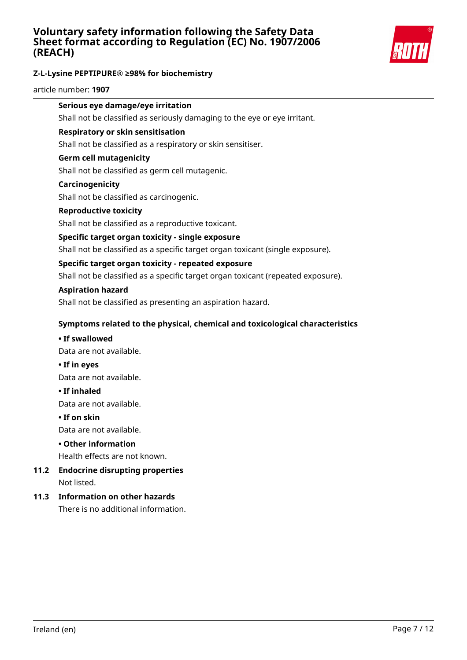

## **Z-L-Lysine PEPTIPURE® ≥98% for biochemistry**

article number: **1907**

# **Serious eye damage/eye irritation**

Shall not be classified as seriously damaging to the eye or eye irritant.

## **Respiratory or skin sensitisation**

Shall not be classified as a respiratory or skin sensitiser.

## **Germ cell mutagenicity**

Shall not be classified as germ cell mutagenic.

#### **Carcinogenicity**

Shall not be classified as carcinogenic.

## **Reproductive toxicity**

Shall not be classified as a reproductive toxicant.

## **Specific target organ toxicity - single exposure**

Shall not be classified as a specific target organ toxicant (single exposure).

## **Specific target organ toxicity - repeated exposure**

Shall not be classified as a specific target organ toxicant (repeated exposure).

#### **Aspiration hazard**

Shall not be classified as presenting an aspiration hazard.

## **Symptoms related to the physical, chemical and toxicological characteristics**

#### **• If swallowed**

Data are not available.

**• If in eyes**

Data are not available.

#### **• If inhaled**

Data are not available.

#### **• If on skin**

Data are not available.

## **• Other information**

Health effects are not known.

## **11.2 Endocrine disrupting properties** Not listed.

## **11.3 Information on other hazards**

There is no additional information.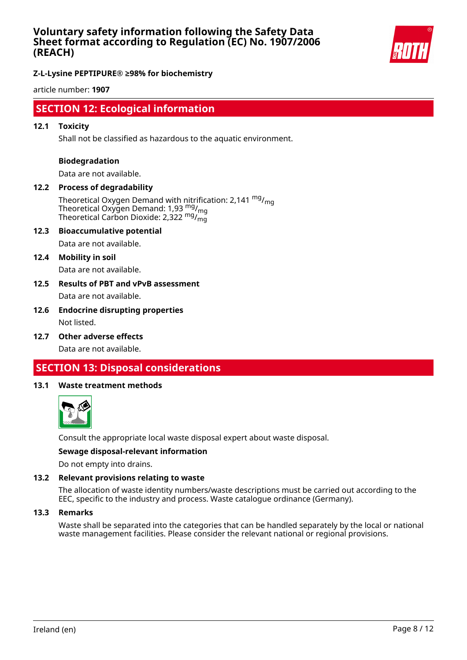

## **Z-L-Lysine PEPTIPURE® ≥98% for biochemistry**

article number: **1907**

# **SECTION 12: Ecological information**

## **12.1 Toxicity**

Shall not be classified as hazardous to the aquatic environment.

#### **Biodegradation**

Data are not available.

## **12.2 Process of degradability**

Theoretical Oxygen Demand with nitrification: 2,141  $mg/m<sub>0</sub>$ Theoretical Oxygen Demand: 1,93  $_{\text{mg}}^{\text{mg}}$ /<sub>mg</sub> Theoretical Carbon Dioxide: 2,322  $\mathrm{^{mg} /_{mg}^{-1}}$ 

#### **12.3 Bioaccumulative potential**

Data are not available.

#### **12.4 Mobility in soil**

Data are not available.

## **12.5 Results of PBT and vPvB assessment** Data are not available.

## **12.6 Endocrine disrupting properties** Not listed.

**12.7 Other adverse effects**

Data are not available.

# **SECTION 13: Disposal considerations**

#### **13.1 Waste treatment methods**



Consult the appropriate local waste disposal expert about waste disposal.

#### **Sewage disposal-relevant information**

Do not empty into drains.

## **13.2 Relevant provisions relating to waste**

The allocation of waste identity numbers/waste descriptions must be carried out according to the EEC, specific to the industry and process. Waste catalogue ordinance (Germany).

#### **13.3 Remarks**

Waste shall be separated into the categories that can be handled separately by the local or national waste management facilities. Please consider the relevant national or regional provisions.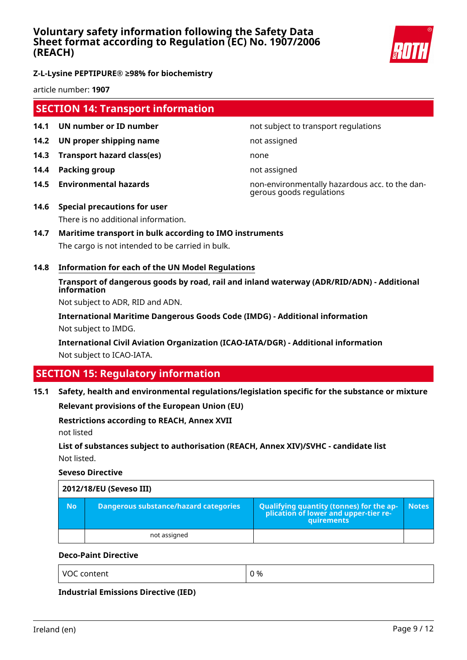

**Z-L-Lysine PEPTIPURE® ≥98% for biochemistry**

article number: **1907**

# **SECTION 14: Transport information**

- **14.1 UN number or ID number not subject to transport regulations**
- **14.2 UN proper shipping name** not assigned
- **14.3 Transport hazard class(es)** none
- **14.4 Packing group not assigned**
- 

**14.5 Environmental hazards** non-environmentally hazardous acc. to the dangerous goods regulations

- **14.6 Special precautions for user** There is no additional information.
- **14.7 Maritime transport in bulk according to IMO instruments** The cargo is not intended to be carried in bulk.
- **14.8 Information for each of the UN Model Regulations**

# **Transport of dangerous goods by road, rail and inland waterway (ADR/RID/ADN) - Additional information**

Not subject to ADR, RID and ADN.

**International Maritime Dangerous Goods Code (IMDG) - Additional information** Not subject to IMDG.

**International Civil Aviation Organization (ICAO-IATA/DGR) - Additional information** Not subject to ICAO-IATA.

# **SECTION 15: Regulatory information**

## **15.1 Safety, health and environmental regulations/legislation specific for the substance or mixture**

**Relevant provisions of the European Union (EU)**

## **Restrictions according to REACH, Annex XVII**

not listed

## **List of substances subject to authorisation (REACH, Annex XIV)/SVHC - candidate list** Not listed.

**Seveso Directive**

|           | 2012/18/EU (Seveso III)               |                                                                                                   |              |  |
|-----------|---------------------------------------|---------------------------------------------------------------------------------------------------|--------------|--|
| <b>No</b> | Dangerous substance/hazard categories | Qualifying quantity (tonnes) for the application of lower and upper-tier re-<br><b>auirements</b> | <b>Notes</b> |  |
|           | not assigned                          |                                                                                                   |              |  |

## **Deco-Paint Directive**

VOC content  $\begin{array}{ccc} \vert & 0 \end{array}$ 

**Industrial Emissions Directive (IED)**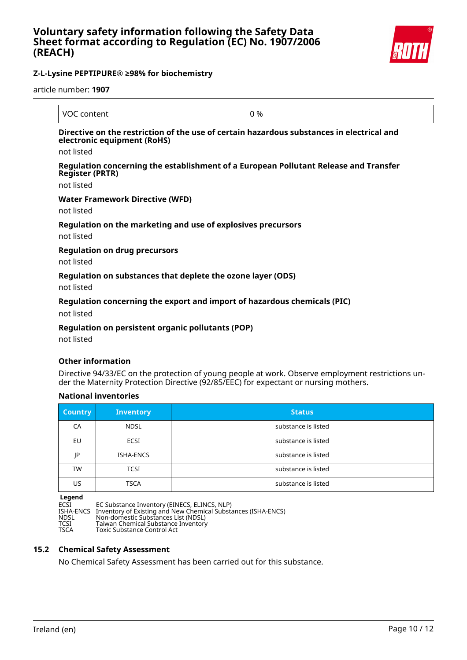

article number: **1907**

| VOC content                                                                | 0 %                                                                                       |
|----------------------------------------------------------------------------|-------------------------------------------------------------------------------------------|
| electronic equipment (RoHS)<br>not listed                                  | Directive on the restriction of the use of certain hazardous substances in electrical and |
| <b>Register (PRTR)</b>                                                     | Regulation concerning the establishment of a European Pollutant Release and Transfer      |
| not listed                                                                 |                                                                                           |
| Water Framework Directive (WFD)<br>not listed                              |                                                                                           |
| Regulation on the marketing and use of explosives precursors<br>not listed |                                                                                           |
| <b>Regulation on drug precursors</b><br>not listed                         |                                                                                           |
| Regulation on substances that deplete the ozone layer (ODS)<br>not listed  |                                                                                           |

## **Regulation concerning the export and import of hazardous chemicals (PIC)**

not listed

## **Regulation on persistent organic pollutants (POP)**

not listed

## **Other information**

Directive 94/33/EC on the protection of young people at work. Observe employment restrictions under the Maternity Protection Directive (92/85/EEC) for expectant or nursing mothers.

## **National inventories**

| <b>Country</b> | <b>Inventory</b> | <b>Status</b>       |
|----------------|------------------|---------------------|
| CA             | <b>NDSL</b>      | substance is listed |
| EU             | <b>ECSI</b>      | substance is listed |
| JP             | ISHA-ENCS        | substance is listed |
| TW             | <b>TCSI</b>      | substance is listed |
| US             | <b>TSCA</b>      | substance is listed |

**Legend** ECSI EC Substance Inventory (EINECS, ELINCS, NLP) ISHA-ENCS Inventory of Existing and New Chemical Substances (ISHA-ENCS) NDSL Non-domestic Substances List (NDSL) TESHA-ENCS Inventory of Existence Inventory (LINECS, LEINVIS<br>
NDSL Non-domestic Substances List (NDSL)<br>
TCSI Taiwan Chemical Substance Inventory<br>
TSCA Toxic Substance Control Act Toxic Substance Control Act

## **15.2 Chemical Safety Assessment**

No Chemical Safety Assessment has been carried out for this substance.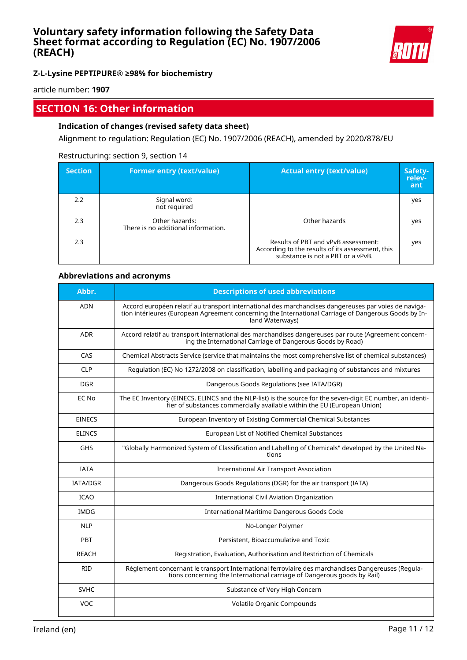

article number: **1907**

# **SECTION 16: Other information**

## **Indication of changes (revised safety data sheet)**

Alignment to regulation: Regulation (EC) No. 1907/2006 (REACH), amended by 2020/878/EU

## Restructuring: section 9, section 14

| <b>Section</b> | <b>Former entry (text/value)</b>                      | <b>Actual entry (text/value)</b>                                                                                             | Safety-<br>relev-<br>ant |
|----------------|-------------------------------------------------------|------------------------------------------------------------------------------------------------------------------------------|--------------------------|
| 2.2            | Signal word:<br>not required                          |                                                                                                                              | yes                      |
| 2.3            | Other hazards:<br>There is no additional information. | Other hazards                                                                                                                | yes                      |
| 2.3            |                                                       | Results of PBT and vPvB assessment:<br>According to the results of its assessment, this<br>substance is not a PBT or a vPvB. | yes                      |

## **Abbreviations and acronyms**

| Abbr.           | <b>Descriptions of used abbreviations</b>                                                                                                                                                                                       |
|-----------------|---------------------------------------------------------------------------------------------------------------------------------------------------------------------------------------------------------------------------------|
| <b>ADN</b>      | Accord européen relatif au transport international des marchandises dangereuses par voies de naviga-<br>tion intérieures (European Agreement concerning the International Carriage of Dangerous Goods by In-<br>land Waterways) |
| <b>ADR</b>      | Accord relatif au transport international des marchandises dangereuses par route (Agreement concern-<br>ing the International Carriage of Dangerous Goods by Road)                                                              |
| CAS             | Chemical Abstracts Service (service that maintains the most comprehensive list of chemical substances)                                                                                                                          |
| CIP             | Regulation (EC) No 1272/2008 on classification, labelling and packaging of substances and mixtures                                                                                                                              |
| <b>DGR</b>      | Dangerous Goods Regulations (see IATA/DGR)                                                                                                                                                                                      |
| EC No           | The EC Inventory (EINECS, ELINCS and the NLP-list) is the source for the seven-digit EC number, an identi-<br>fier of substances commercially available within the EU (European Union)                                          |
| <b>EINECS</b>   | European Inventory of Existing Commercial Chemical Substances                                                                                                                                                                   |
| <b>ELINCS</b>   | European List of Notified Chemical Substances                                                                                                                                                                                   |
| <b>GHS</b>      | "Globally Harmonized System of Classification and Labelling of Chemicals" developed by the United Na-<br>tions                                                                                                                  |
| <b>IATA</b>     | <b>International Air Transport Association</b>                                                                                                                                                                                  |
| <b>IATA/DGR</b> | Dangerous Goods Regulations (DGR) for the air transport (IATA)                                                                                                                                                                  |
| <b>ICAO</b>     | International Civil Aviation Organization                                                                                                                                                                                       |
| IMDG            | International Maritime Dangerous Goods Code                                                                                                                                                                                     |
| <b>NLP</b>      | No-Longer Polymer                                                                                                                                                                                                               |
| PBT             | Persistent, Bioaccumulative and Toxic                                                                                                                                                                                           |
| <b>REACH</b>    | Registration, Evaluation, Authorisation and Restriction of Chemicals                                                                                                                                                            |
| <b>RID</b>      | Règlement concernant le transport International ferroviaire des marchandises Dangereuses (Regula-<br>tions concerning the International carriage of Dangerous goods by Rail)                                                    |
| <b>SVHC</b>     | Substance of Very High Concern                                                                                                                                                                                                  |
| VOC             | Volatile Organic Compounds                                                                                                                                                                                                      |